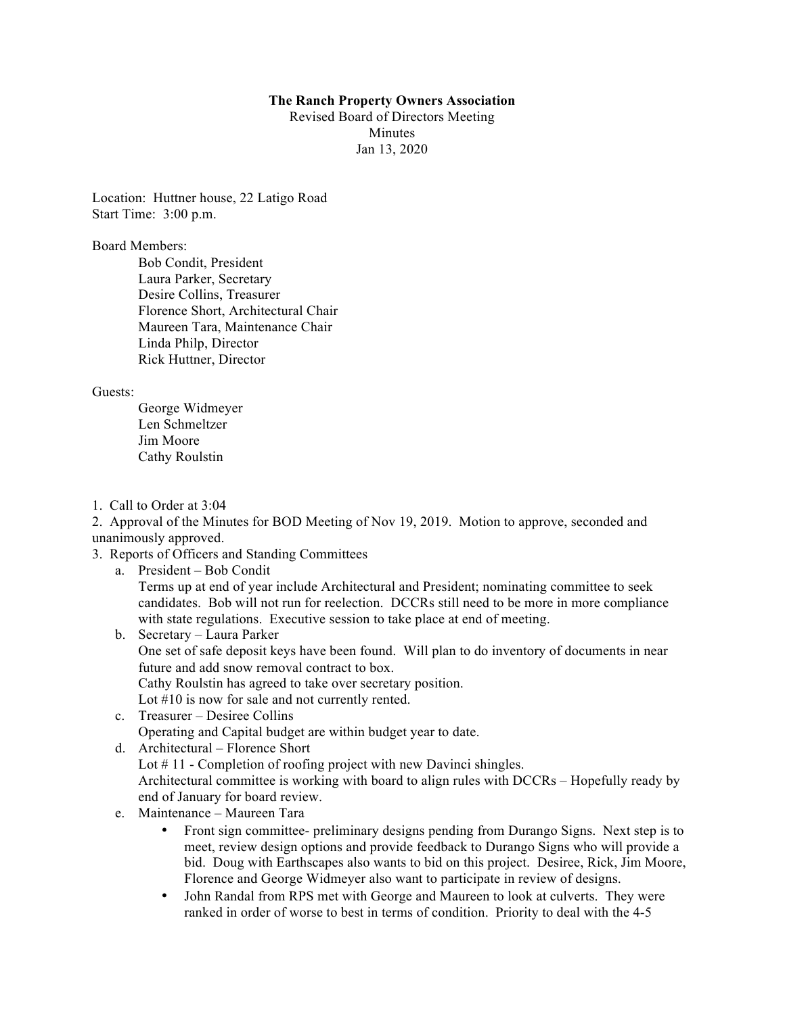#### **The Ranch Property Owners Association**

Revised Board of Directors Meeting **Minutes** Jan 13, 2020

Location: Huttner house, 22 Latigo Road Start Time: 3:00 p.m.

Board Members:

Bob Condit, President Laura Parker, Secretary Desire Collins, Treasurer Florence Short, Architectural Chair Maureen Tara, Maintenance Chair Linda Philp, Director Rick Huttner, Director

## Guests:

George Widmeyer Len Schmeltzer Jim Moore Cathy Roulstin

1. Call to Order at 3:04

2. Approval of the Minutes for BOD Meeting of Nov 19, 2019. Motion to approve, seconded and unanimously approved.

- 3. Reports of Officers and Standing Committees
	- a. President Bob Condit

Terms up at end of year include Architectural and President; nominating committee to seek candidates. Bob will not run for reelection. DCCRs still need to be more in more compliance with state regulations. Executive session to take place at end of meeting.

- b. Secretary Laura Parker One set of safe deposit keys have been found. Will plan to do inventory of documents in near future and add snow removal contract to box. Cathy Roulstin has agreed to take over secretary position. Lot #10 is now for sale and not currently rented.
- c. Treasurer Desiree Collins Operating and Capital budget are within budget year to date.
- d. Architectural Florence Short Lot #11 - Completion of roofing project with new Davinci shingles. Architectural committee is working with board to align rules with DCCRs – Hopefully ready by end of January for board review.
- e. Maintenance Maureen Tara
	- Front sign committee- preliminary designs pending from Durango Signs. Next step is to meet, review design options and provide feedback to Durango Signs who will provide a bid. Doug with Earthscapes also wants to bid on this project. Desiree, Rick, Jim Moore, Florence and George Widmeyer also want to participate in review of designs.
	- John Randal from RPS met with George and Maureen to look at culverts. They were ranked in order of worse to best in terms of condition. Priority to deal with the 4-5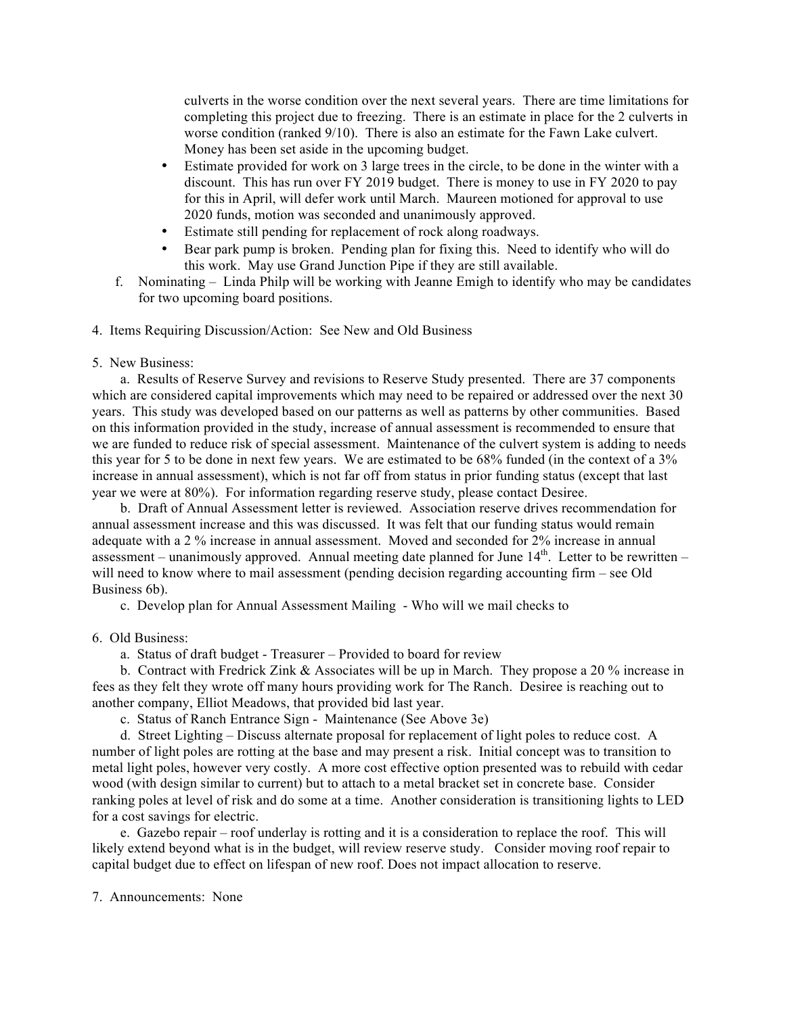culverts in the worse condition over the next several years. There are time limitations for completing this project due to freezing. There is an estimate in place for the 2 culverts in worse condition (ranked 9/10). There is also an estimate for the Fawn Lake culvert. Money has been set aside in the upcoming budget.

- Estimate provided for work on 3 large trees in the circle, to be done in the winter with a discount. This has run over FY 2019 budget. There is money to use in FY 2020 to pay for this in April, will defer work until March. Maureen motioned for approval to use 2020 funds, motion was seconded and unanimously approved.
- Estimate still pending for replacement of rock along roadways.
- Bear park pump is broken. Pending plan for fixing this. Need to identify who will do this work. May use Grand Junction Pipe if they are still available.
- f. Nominating Linda Philp will be working with Jeanne Emigh to identify who may be candidates for two upcoming board positions.

4. Items Requiring Discussion/Action: See New and Old Business

## 5. New Business:

 a. Results of Reserve Survey and revisions to Reserve Study presented. There are 37 components which are considered capital improvements which may need to be repaired or addressed over the next 30 years. This study was developed based on our patterns as well as patterns by other communities. Based on this information provided in the study, increase of annual assessment is recommended to ensure that we are funded to reduce risk of special assessment. Maintenance of the culvert system is adding to needs this year for 5 to be done in next few years. We are estimated to be 68% funded (in the context of a 3% increase in annual assessment), which is not far off from status in prior funding status (except that last year we were at 80%). For information regarding reserve study, please contact Desiree.

 b. Draft of Annual Assessment letter is reviewed. Association reserve drives recommendation for annual assessment increase and this was discussed. It was felt that our funding status would remain adequate with a 2 % increase in annual assessment. Moved and seconded for 2% increase in annual assessment – unanimously approved. Annual meeting date planned for June  $14<sup>th</sup>$ . Letter to be rewritten – will need to know where to mail assessment (pending decision regarding accounting firm – see Old Business 6b).

c. Develop plan for Annual Assessment Mailing - Who will we mail checks to

# 6. Old Business:

a. Status of draft budget - Treasurer – Provided to board for review

 b. Contract with Fredrick Zink & Associates will be up in March. They propose a 20 % increase in fees as they felt they wrote off many hours providing work for The Ranch. Desiree is reaching out to another company, Elliot Meadows, that provided bid last year.

c. Status of Ranch Entrance Sign - Maintenance (See Above 3e)

 d. Street Lighting – Discuss alternate proposal for replacement of light poles to reduce cost. A number of light poles are rotting at the base and may present a risk. Initial concept was to transition to metal light poles, however very costly. A more cost effective option presented was to rebuild with cedar wood (with design similar to current) but to attach to a metal bracket set in concrete base. Consider ranking poles at level of risk and do some at a time. Another consideration is transitioning lights to LED for a cost savings for electric.

 e. Gazebo repair – roof underlay is rotting and it is a consideration to replace the roof. This will likely extend beyond what is in the budget, will review reserve study. Consider moving roof repair to capital budget due to effect on lifespan of new roof. Does not impact allocation to reserve.

## 7. Announcements: None